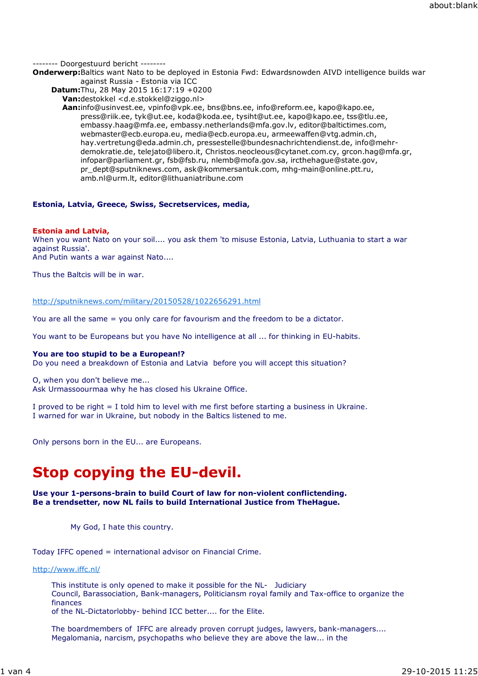-------- Doorgestuurd bericht --------

**Onderwerp:**Baltics want Nato to be deployed in Estonia Fwd: Edwardsnowden AIVD intelligence builds war against Russia - Estonia via ICC

**Datum:**Thu, 28 May 2015 16:17:19 +0200

**Van:**destokkel <d.e.stokkel@ziggo.nl>

**Aan:**info@usinvest.ee, vpinfo@vpk.ee, bns@bns.ee, info@reform.ee, kapo@kapo.ee, press@riik.ee, tyk@ut.ee, koda@koda.ee, tysiht@ut.ee, kapo@kapo.ee, tss@tlu.ee, embassy.haag@mfa.ee, embassy.netherlands@mfa.gov.lv, editor@baltictimes.com, webmaster@ecb.europa.eu, media@ecb.europa.eu, armeewaffen@vtg.admin.ch, hay.vertretung@eda.admin.ch, pressestelle@bundesnachrichtendienst.de, info@mehrdemokratie.de, telejato@libero.it, Christos.neocleous@cytanet.com.cy, grcon.hag@mfa.gr, infopar@parliament.gr, fsb@fsb.ru, nlemb@mofa.gov.sa, ircthehague@state.gov, pr\_dept@sputniknews.com, ask@kommersantuk.com, mhg-main@online.ptt.ru, amb.nl@urm.lt, editor@lithuaniatribune.com

## **Estonia, Latvia, Greece, Swiss, Secretservices, media,**

## **Estonia and Latvia,**

When you want Nato on your soil.... you ask them 'to misuse Estonia, Latvia, Luthuania to start a war against Russia'.

And Putin wants a war against Nato....

Thus the Baltcis will be in war.

## http://sputniknews.com/military/20150528/1022656291.html

You are all the same = you only care for favourism and the freedom to be a dictator.

You want to be Europeans but you have No intelligence at all ... for thinking in EU-habits.

## **You are too stupid to be a European!?**

Do you need a breakdown of Estonia and Latvia before you will accept this situation?

O, when you don't believe me... Ask Urmassoourmaa why he has closed his Ukraine Office.

I proved to be right = I told him to level with me first before starting a business in Ukraine. I warned for war in Ukraine, but nobody in the Baltics listened to me.

Only persons born in the EU... are Europeans.

# **Stop copying the EU-devil.**

### **Use your 1-persons-brain to build Court of law for non-violent conflictending. Be a trendsetter, now NL fails to build International Justice from TheHague.**

My God, I hate this country.

Today IFFC opened = international advisor on Financial Crime.

http://www.iffc.nl/

This institute is only opened to make it possible for the NL- Judiciary Council, Barassociation, Bank-managers, Politiciansm royal family and Tax-office to organize the finances

of the NL-Dictatorlobby- behind ICC better.... for the Elite.

The boardmembers of IFFC are already proven corrupt judges, lawyers, bank-managers.... Megalomania, narcism, psychopaths who believe they are above the law... in the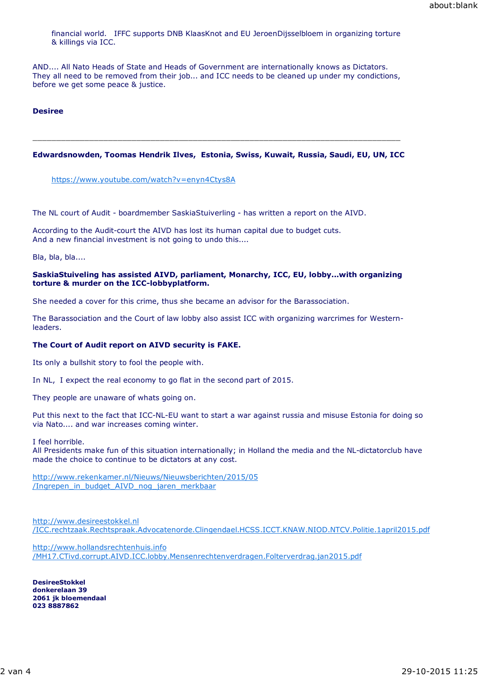financial world. IFFC supports DNB KlaasKnot and EU JeroenDijsselbloem in organizing torture & killings via ICC.

AND.... All Nato Heads of State and Heads of Government are internationally knows as Dictators. They all need to be removed from their job... and ICC needs to be cleaned up under my condictions, before we get some peace & justice.

#### **Desiree**

#### **Edwardsnowden, Toomas Hendrik Ilves, Estonia, Swiss, Kuwait, Russia, Saudi, EU, UN, ICC**

\_\_\_\_\_\_\_\_\_\_\_\_\_\_\_\_\_\_\_\_\_\_\_\_\_\_\_\_\_\_\_\_\_\_\_\_\_\_\_\_\_\_\_\_\_\_\_\_\_\_\_\_\_\_\_\_\_\_\_\_\_\_\_\_\_\_\_\_\_\_\_\_\_\_\_\_\_\_

https://www.youtube.com/watch?v=enyn4Ctys8A

The NL court of Audit - boardmember SaskiaStuiverling - has written a report on the AIVD.

According to the Audit-court the AIVD has lost its human capital due to budget cuts. And a new financial investment is not going to undo this....

Bla, bla, bla....

#### **SaskiaStuiveling has assisted AIVD, parliament, Monarchy, ICC, EU, lobby...with organizing torture & murder on the ICC-lobbyplatform.**

She needed a cover for this crime, thus she became an advisor for the Barassociation.

The Barassociation and the Court of law lobby also assist ICC with organizing warcrimes for Westernleaders.

#### **The Court of Audit report on AIVD security is FAKE.**

Its only a bullshit story to fool the people with.

In NL, I expect the real economy to go flat in the second part of 2015.

They people are unaware of whats going on.

Put this next to the fact that ICC-NL-EU want to start a war against russia and misuse Estonia for doing so via Nato.... and war increases coming winter.

I feel horrible.

All Presidents make fun of this situation internationally; in Holland the media and the NL-dictatorclub have made the choice to continue to be dictators at any cost.

http://www.rekenkamer.nl/Nieuws/Nieuwsberichten/2015/05 /Ingrepen\_in\_budget\_AIVD\_nog\_jaren\_merkbaar

http://www.desireestokkel.nl /ICC.rechtzaak.Rechtspraak.Advocatenorde.Clingendael.HCSS.ICCT.KNAW.NIOD.NTCV.Politie.1april2015.pdf

http://www.hollandsrechtenhuis.info /MH17.CTivd.corrupt.AIVD.ICC.lobby.Mensenrechtenverdragen.Folterverdrag.jan2015.pdf

**DesireeStokkel donkerelaan 39 2061 jk bloemendaal 023 8887862**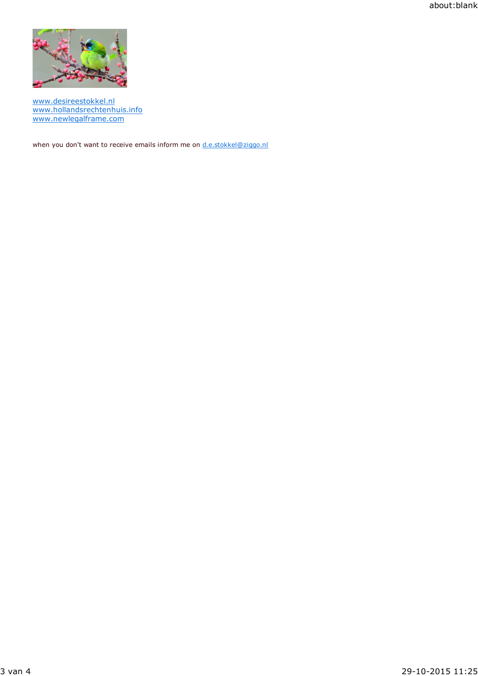about:blank



www.desireestokkel.nl www.hollandsrechtenhuis.info www.newlegalframe.com

when you don't want to receive emails inform me on d.e.stokkel@ziggo.nl